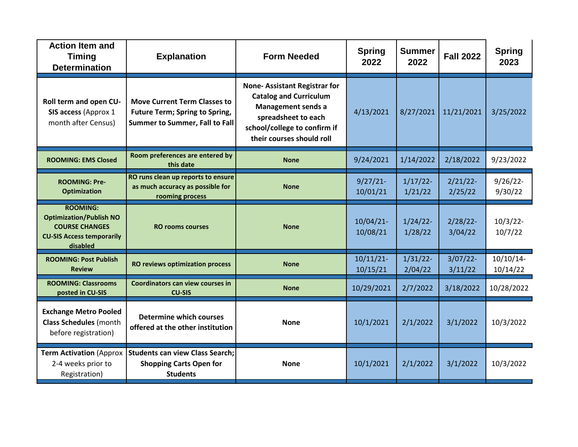| <b>Action Item and</b><br><b>Timing</b><br><b>Determination</b>                                                            | <b>Explanation</b>                                                                                             | <b>Form Needed</b>                                                                                                                                                                    | <b>Spring</b><br>2022    | <b>Summer</b><br>2022  | <b>Fall 2022</b>       | <b>Spring</b><br>2023    |
|----------------------------------------------------------------------------------------------------------------------------|----------------------------------------------------------------------------------------------------------------|---------------------------------------------------------------------------------------------------------------------------------------------------------------------------------------|--------------------------|------------------------|------------------------|--------------------------|
| Roll term and open CU-<br>SIS access (Approx 1<br>month after Census)                                                      | <b>Move Current Term Classes to</b><br><b>Future Term; Spring to Spring,</b><br>Summer to Summer, Fall to Fall | <b>None-Assistant Registrar for</b><br><b>Catalog and Curriculum</b><br><b>Management sends a</b><br>spreadsheet to each<br>school/college to confirm if<br>their courses should roll | 4/13/2021                | 8/27/2021              | 11/21/2021             | 3/25/2022                |
| <b>ROOMING: EMS Closed</b>                                                                                                 | Room preferences are entered by<br>this date                                                                   | <b>None</b>                                                                                                                                                                           | 9/24/2021                | 1/14/2022              | 2/18/2022              | 9/23/2022                |
| <b>ROOMING: Pre-</b><br><b>Optimization</b>                                                                                | RO runs clean up reports to ensure<br>as much accuracy as possible for<br>rooming process                      | <b>None</b>                                                                                                                                                                           | $9/27/21$ -<br>10/01/21  | $1/17/22$ -<br>1/21/22 | $2/21/22$ -<br>2/25/22 | $9/26/22$ -<br>9/30/22   |
| <b>ROOMING:</b><br><b>Optimization/Publish NO</b><br><b>COURSE CHANGES</b><br><b>CU-SIS Access temporarily</b><br>disabled | <b>RO rooms courses</b>                                                                                        | <b>None</b>                                                                                                                                                                           | $10/04/21$ -<br>10/08/21 | $1/24/22$ -<br>1/28/22 | $2/28/22$ -<br>3/04/22 | $10/3/22$ -<br>10/7/22   |
| <b>ROOMING: Post Publish</b><br><b>Review</b>                                                                              | <b>RO reviews optimization process</b>                                                                         | <b>None</b>                                                                                                                                                                           | $10/11/21$ -<br>10/15/21 | $1/31/22$ -<br>2/04/22 | $3/07/22$ -<br>3/11/22 | $10/10/14$ -<br>10/14/22 |
| <b>ROOMING: Classrooms</b><br>posted in CU-SIS                                                                             | <b>Coordinators can view courses in</b><br><b>CU-SIS</b>                                                       | <b>None</b>                                                                                                                                                                           | 10/29/2021               | 2/7/2022               | 3/18/2022              | 10/28/2022               |
| <b>Exchange Metro Pooled</b><br><b>Class Schedules</b> (month<br>before registration)                                      | <b>Determine which courses</b><br>offered at the other institution                                             | <b>None</b>                                                                                                                                                                           | 10/1/2021                | 2/1/2022               | 3/1/2022               | 10/3/2022                |
| <b>Term Activation (Approx</b><br>2-4 weeks prior to<br>Registration)                                                      | <b>Students can view Class Search;</b><br><b>Shopping Carts Open for</b><br><b>Students</b>                    | <b>None</b>                                                                                                                                                                           | 10/1/2021                | 2/1/2022               | 3/1/2022               | 10/3/2022                |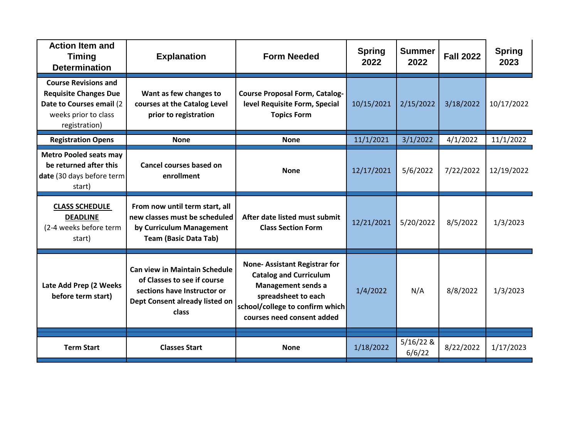| <b>Action Item and</b><br><b>Timing</b><br><b>Determination</b>                                                                  | <b>Explanation</b>                                                                                                                            | <b>Form Needed</b>                                                                                                                                                                        | <b>Spring</b><br>2022 | <b>Summer</b><br>2022 | <b>Fall 2022</b> | <b>Spring</b><br>2023 |
|----------------------------------------------------------------------------------------------------------------------------------|-----------------------------------------------------------------------------------------------------------------------------------------------|-------------------------------------------------------------------------------------------------------------------------------------------------------------------------------------------|-----------------------|-----------------------|------------------|-----------------------|
| <b>Course Revisions and</b><br><b>Requisite Changes Due</b><br>Date to Courses email (2<br>weeks prior to class<br>registration) | Want as few changes to<br>courses at the Catalog Level<br>prior to registration                                                               | <b>Course Proposal Form, Catalog-</b><br>level Requisite Form, Special<br><b>Topics Form</b>                                                                                              | 10/15/2021            | 2/15/2022             | 3/18/2022        | 10/17/2022            |
| <b>Registration Opens</b>                                                                                                        | <b>None</b>                                                                                                                                   | <b>None</b>                                                                                                                                                                               | 11/1/2021             | 3/1/2022              | 4/1/2022         | 11/1/2022             |
| <b>Metro Pooled seats may</b><br>be returned after this<br>date (30 days before term<br>start)                                   | <b>Cancel courses based on</b><br>enrollment                                                                                                  | <b>None</b>                                                                                                                                                                               | 12/17/2021            | 5/6/2022              | 7/22/2022        | 12/19/2022            |
| <b>CLASS SCHEDULE</b><br><b>DEADLINE</b><br>(2-4 weeks before term<br>start)                                                     | From now until term start, all<br>new classes must be scheduled<br>by Curriculum Management<br><b>Team (Basic Data Tab)</b>                   | After date listed must submit<br><b>Class Section Form</b>                                                                                                                                | 12/21/2021            | 5/20/2022             | 8/5/2022         | 1/3/2023              |
| Late Add Prep (2 Weeks<br>before term start)                                                                                     | <b>Can view in Maintain Schedule</b><br>of Classes to see if course<br>sections have Instructor or<br>Dept Consent already listed on<br>class | <b>None-Assistant Registrar for</b><br><b>Catalog and Curriculum</b><br><b>Management sends a</b><br>spreadsheet to each<br>school/college to confirm which<br>courses need consent added | 1/4/2022              | N/A                   | 8/8/2022         | 1/3/2023              |
|                                                                                                                                  |                                                                                                                                               |                                                                                                                                                                                           |                       | $5/16/22$ &           |                  |                       |
| <b>Term Start</b>                                                                                                                | <b>Classes Start</b>                                                                                                                          | <b>None</b>                                                                                                                                                                               | 1/18/2022             | 6/6/22                | 8/22/2022        | 1/17/2023             |